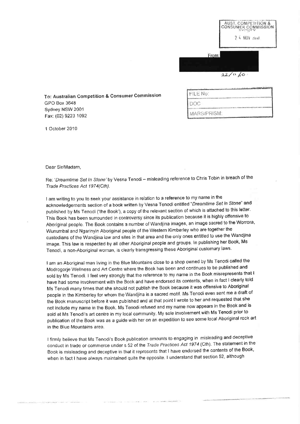|       |         | OVIMBEV      | AUST, COMPETITION &<br><b>CONSUMER COMMISSION</b> |
|-------|---------|--------------|---------------------------------------------------|
|       |         | $24$ NOV and |                                                   |
|       |         |              |                                                   |
| From: |         |              |                                                   |
|       |         |              |                                                   |
|       | 22/11/2 |              |                                                   |

To: Australian Competition & Consumer Commission GPO Box 3648 Sydney NSW 2001 Fax: (02) 9223 1092

| FILE No:    |  |  |  |
|-------------|--|--|--|
| DOC.        |  |  |  |
| MARS/PRISM: |  |  |  |

1 October 2010

## Dear Sir/Madam.

Re: 'Dreamtime Set In Stone' by Vesna Tenodi - misleading reference to Chris Tobin in breach of the Trade Practices Act 1974(Cth).

I am writing to you to seek your assistance in relation to a reference to my name in the acknowledgements section of a book written by Vesna Tenodi entitled "Dreamtime Set in Stone" and published by Ms Tenodi ('the Book'), a copy of the relevant section of which is attached to this letter. This Book has been surrounded in controversy since its publication because it is highly offensive to Aboriginal people. The Book contains a number of Wandjina images, an image sacred to the Worrora, Wunumbal and Ngarinyin Aboriginal people of the Western Kimberley who are together the custodians of the Wandjina law and sites in that area and the only ones entitled to use the Wandjina image. This law is respected by all other Aboriginal people and groups. In publishing her Book, Ms Tenodi, a non-Aboriginal woman, is clearly transgressing these Aboriginal customary laws.

I am an Aboriginal man living in the Blue Mountains close to a shop owned by Ms Tenodi called the Modrogorje Wellness and Art Centre where the Book has been and continues to be published and sold by Ms Tenodi. I feel very strongly that the reference to my name in the Book misrepresents that I have had some involvement with the Book and have endorsed its contents, when in fact I clearly told Ms Tenodi many times that she should not publish the Book because it was offensive to Aboriginal people in the Kimberley for whom the Wandjina is a sacred motif. Ms Tenodi even sent me a draft of the Book manuscript before it was published and at that point I wrote to her and requested that she not include my name in the Book. Ms Tenodi refused and my name now appears in the Book and is sold at Ms Tenodi's art centre in my local community. My sole involvement with Ms Tenodi prior to publication of the Book was as a guide with her on an expedition to see some local Aboriginal rock art in the Blue Mountains area.

I firmly believe that Ms Tenodi's Book publication amounts to engaging in misleading and deceptive conduct in trade or commerce under s 52 of the Trade Practices Act 1974 (Cth). The statement in the Book is misleading and deceptive in that it represents that I have endorsed the contents of the Book, when in fact I have always maintained quite the opposite. I understand that section 52, although